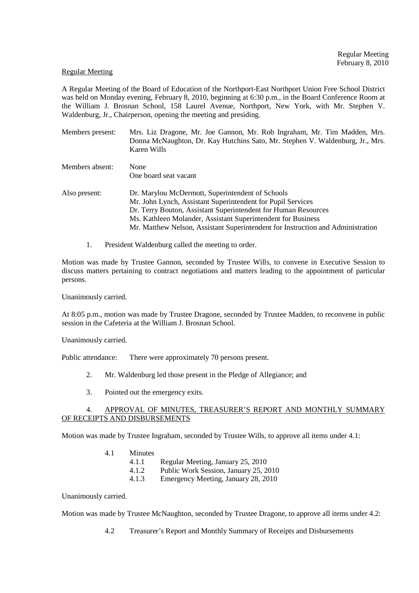### Regular Meeting

A Regular Meeting of the Board of Education of the Northport-East Northport Union Free School District was held on Monday evening, February 8, 2010, beginning at 6:30 p.m., in the Board Conference Room at the William J. Brosnan School, 158 Laurel Avenue, Northport, New York, with Mr. Stephen V. Waldenburg, Jr., Chairperson, opening the meeting and presiding.

- Members present: Mrs. Liz Dragone, Mr. Joe Gannon, Mr. Rob Ingraham, Mr. Tim Madden, Mrs. Donna McNaughton, Dr. Kay Hutchins Sato, Mr. Stephen V. Waldenburg, Jr., Mrs. Karen Wills Members absent: None One board seat vacant
- Also present: Dr. Marylou McDermott, Superintendent of Schools Mr. John Lynch, Assistant Superintendent for Pupil Services Dr. Terry Bouton, Assistant Superintendent for Human Resources Ms. Kathleen Molander, Assistant Superintendent for Business Mr. Matthew Nelson, Assistant Superintendent for Instruction and Administration
	- 1. President Waldenburg called the meeting to order.

Motion was made by Trustee Gannon, seconded by Trustee Wills, to convene in Executive Session to discuss matters pertaining to contract negotiations and matters leading to the appointment of particular persons.

Unanimously carried.

At 8:05 p.m., motion was made by Trustee Dragone, seconded by Trustee Madden, to reconvene in public session in the Cafeteria at the William J. Brosnan School.

Unanimously carried.

Public attendance: There were approximately 70 persons present.

- 2. Mr. Waldenburg led those present in the Pledge of Allegiance; and
- 3. Pointed out the emergency exits.

## 4. APPROVAL OF MINUTES, TREASURER'S REPORT AND MONTHLY SUMMARY OF RECEIPTS AND DISBURSEMENTS

Motion was made by Trustee Ingraham, seconded by Trustee Wills, to approve all items under 4.1:

- 4.1 Minutes
	- 4.1.1 Regular Meeting, January 25, 2010<br>4.1.2 Public Work Session, January 25, 2
		- 4.1.2 Public Work Session, January 25, 2010
	- 4.1.3 Emergency Meeting, January 28, 2010

Unanimously carried.

Motion was made by Trustee McNaughton, seconded by Trustee Dragone, to approve all items under 4.2:

4.2 Treasurer's Report and Monthly Summary of Receipts and Disbursements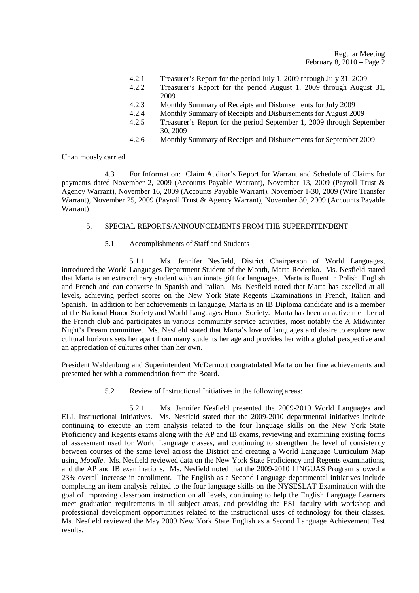#### Regular Meeting February 8,  $2010 - Page 2$

- 4.2.1 Treasurer's Report for the period July 1, 2009 through July 31, 2009
- 4.2.2 Treasurer's Report for the period August 1, 2009 through August 31, 2009
- 4.2.3 Monthly Summary of Receipts and Disbursements for July 2009
- 4.2.4 Monthly Summary of Receipts and Disbursements for August 2009<br>4.2.5 Treasurer's Report for the period September 1, 2009 through Sept
- Treasurer's Report for the period September 1, 2009 through September 30, 2009
- 4.2.6 Monthly Summary of Receipts and Disbursements for September 2009

Unanimously carried.

 4.3 For Information: Claim Auditor's Report for Warrant and Schedule of Claims for payments dated November 2, 2009 (Accounts Payable Warrant), November 13, 2009 (Payroll Trust & Agency Warrant), November 16, 2009 (Accounts Payable Warrant), November 1-30, 2009 (Wire Transfer Warrant), November 25, 2009 (Payroll Trust & Agency Warrant), November 30, 2009 (Accounts Payable Warrant)

## 5. SPECIAL REPORTS/ANNOUNCEMENTS FROM THE SUPERINTENDENT

5.1 Accomplishments of Staff and Students

 5.1.1 Ms. Jennifer Nesfield, District Chairperson of World Languages, introduced the World Languages Department Student of the Month, Marta Rodenko. Ms. Nesfield stated that Marta is an extraordinary student with an innate gift for languages. Marta is fluent in Polish, English and French and can converse in Spanish and Italian. Ms. Nesfield noted that Marta has excelled at all levels, achieving perfect scores on the New York State Regents Examinations in French, Italian and Spanish. In addition to her achievements in language, Marta is an IB Diploma candidate and is a member of the National Honor Society and World Languages Honor Society. Marta has been an active member of the French club and participates in various community service activities, most notably the A Midwinter Night's Dream committee. Ms. Nesfield stated that Marta's love of languages and desire to explore new cultural horizons sets her apart from many students her age and provides her with a global perspective and an appreciation of cultures other than her own.

President Waldenburg and Superintendent McDermott congratulated Marta on her fine achievements and presented her with a commendation from the Board.

5.2 Review of Instructional Initiatives in the following areas:

 5.2.1 Ms. Jennifer Nesfield presented the 2009-2010 World Languages and ELL Instructional Initiatives. Ms. Nesfield stated that the 2009-2010 departmental initiatives include continuing to execute an item analysis related to the four language skills on the New York State Proficiency and Regents exams along with the AP and IB exams, reviewing and examining existing forms of assessment used for World Language classes, and continuing to strengthen the level of consistency between courses of the same level across the District and creating a World Language Curriculum Map using *Moodle*. Ms. Nesfield reviewed data on the New York State Proficiency and Regents examinations, and the AP and IB examinations. Ms. Nesfield noted that the 2009-2010 LINGUAS Program showed a 23% overall increase in enrollment. The English as a Second Language departmental initiatives include completing an item analysis related to the four language skills on the NYSESLAT Examination with the goal of improving classroom instruction on all levels, continuing to help the English Language Learners meet graduation requirements in all subject areas, and providing the ESL faculty with workshop and professional development opportunities related to the instructional uses of technology for their classes. Ms. Nesfield reviewed the May 2009 New York State English as a Second Language Achievement Test results.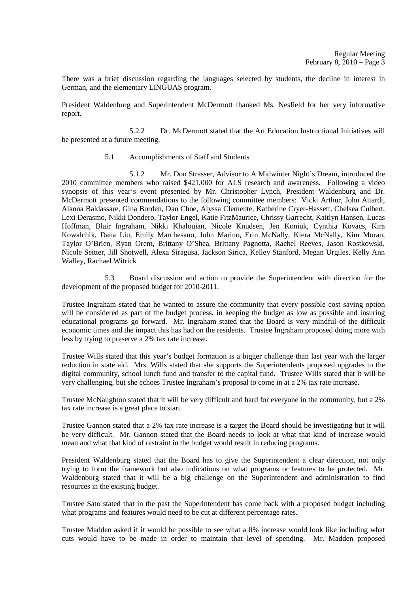There was a brief discussion regarding the languages selected by students, the decline in interest in German, and the elementary LINGUAS program.

President Waldenburg and Superintendent McDermott thanked Ms. Nesfield for her very informative report.

 5.2.2 Dr. McDermott stated that the Art Education Instructional Initiatives will be presented at a future meeting.

## 5.1 Accomplishments of Staff and Students

 5.1.2 Mr. Don Strasser, Advisor to A Midwinter Night's Dream, introduced the 2010 committee members who raised \$421,000 for ALS research and awareness. Following a video synopsis of this year's event presented by Mr. Christopher Lynch, President Waldenburg and Dr. McDermott presented commendations to the following committee members: Vicki Arthur, John Attardi, Alanna Baldassare, Gina Borden, Dan Choe, Alyssa Clemente, Katherine Cryer-Hassett, Chelsea Culbert, Lexi Derasmo, Nikki Dondero, Taylor Engel, Katie FitzMaurice, Chrissy Garrecht, Kaitlyn Hansen, Lucas Hoffman, Blair Ingraham, Nikki Khalouian, Nicole Knudsen, Jen Koniuk, Cynthia Kovacs, Kira Kowalchik, Dana Liu, Emily Marchesano, John Marino, Erin McNally, Kiera McNally, Kim Moran, Taylor O'Brien, Ryan Orent, Brittany O'Shea, Brittany Pagnotta, Rachel Reeves, Jason Rostkowski, Nicole Seitter, Jill Shotwell, Alexa Siragusa, Jackson Sirica, Kelley Stanford, Megan Urgiles, Kelly Ann Walley, Rachael Witrick

 5.3 Board discussion and action to provide the Superintendent with direction for the development of the proposed budget for 2010-2011.

Trustee Ingraham stated that he wanted to assure the community that every possible cost saving option will be considered as part of the budget process, in keeping the budget as low as possible and insuring educational programs go forward. Mr. Ingraham stated that the Board is very mindful of the difficult economic times and the impact this has had on the residents. Trustee Ingraham proposed doing more with less by trying to preserve a 2% tax rate increase.

Trustee Wills stated that this year's budget formation is a bigger challenge than last year with the larger reduction in state aid. Mrs. Wills stated that she supports the Superintendents proposed upgrades to the digital community, school lunch fund and transfer to the capital fund. Trustee Wills stated that it will be very challenging, but she echoes Trustee Ingraham's proposal to come in at a 2% tax rate increase.

Trustee McNaughton stated that it will be very difficult and hard for everyone in the community, but a 2% tax rate increase is a great place to start.

Trustee Gannon stated that a 2% tax rate increase is a target the Board should be investigating but it will be very difficult. Mr. Gannon stated that the Board needs to look at what that kind of increase would mean and what that kind of restraint in the budget would result in reducing programs.

President Waldenburg stated that the Board has to give the Superintendent a clear direction, not only trying to form the framework but also indications on what programs or features to be protected. Mr. Waldenburg stated that it will be a big challenge on the Superintendent and administration to find resources in the existing budget.

Trustee Sato stated that in the past the Superintendent has come back with a proposed budget including what programs and features would need to be cut at different percentage rates.

Trustee Madden asked if it would be possible to see what a 0% increase would look like including what cuts would have to be made in order to maintain that level of spending. Mr. Madden proposed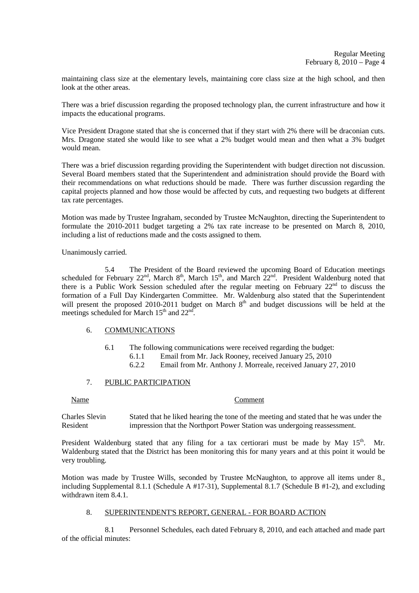maintaining class size at the elementary levels, maintaining core class size at the high school, and then look at the other areas.

There was a brief discussion regarding the proposed technology plan, the current infrastructure and how it impacts the educational programs.

Vice President Dragone stated that she is concerned that if they start with 2% there will be draconian cuts. Mrs. Dragone stated she would like to see what a 2% budget would mean and then what a 3% budget would mean.

There was a brief discussion regarding providing the Superintendent with budget direction not discussion. Several Board members stated that the Superintendent and administration should provide the Board with their recommendations on what reductions should be made. There was further discussion regarding the capital projects planned and how those would be affected by cuts, and requesting two budgets at different tax rate percentages.

Motion was made by Trustee Ingraham, seconded by Trustee McNaughton, directing the Superintendent to formulate the 2010-2011 budget targeting a 2% tax rate increase to be presented on March 8, 2010, including a list of reductions made and the costs assigned to them.

Unanimously carried.

 5.4 The President of the Board reviewed the upcoming Board of Education meetings scheduled for February  $22^{nd}$ , March  $8^{th}$ , March  $15^{th}$ , and March  $22^{nd}$ . President Waldenburg noted that there is a Public Work Session scheduled after the regular meeting on February  $22<sup>nd</sup>$  to discuss the formation of a Full Day Kindergarten Committee. Mr. Waldenburg also stated that the Superintendent will present the proposed 2010-2011 budget on March 8<sup>th</sup> and budget discussions will be held at the meetings scheduled for March  $15<sup>th</sup>$  and  $22<sup>nd</sup>$ .

### 6. COMMUNICATIONS

6.1 The following communications were received regarding the budget:

6.1.1 Email from Mr. Jack Rooney, received January 25, 2010

6.2.2 Email from Mr. Anthony J. Morreale, received January 27, 2010

## 7. PUBLIC PARTICIPATION

### Name Comment

Charles Slevin Stated that he liked hearing the tone of the meeting and stated that he was under the Resident impression that the Northport Power Station was undergoing reassessment.

President Waldenburg stated that any filing for a tax certiorari must be made by May  $15<sup>th</sup>$ . Mr. Waldenburg stated that the District has been monitoring this for many years and at this point it would be very troubling.

Motion was made by Trustee Wills, seconded by Trustee McNaughton, to approve all items under 8., including Supplemental 8.1.1 (Schedule A #17-31), Supplemental 8.1.7 (Schedule B #1-2), and excluding withdrawn item 8.4.1.

### 8. SUPERINTENDENT'S REPORT, GENERAL - FOR BOARD ACTION

 8.1 Personnel Schedules, each dated February 8, 2010, and each attached and made part of the official minutes: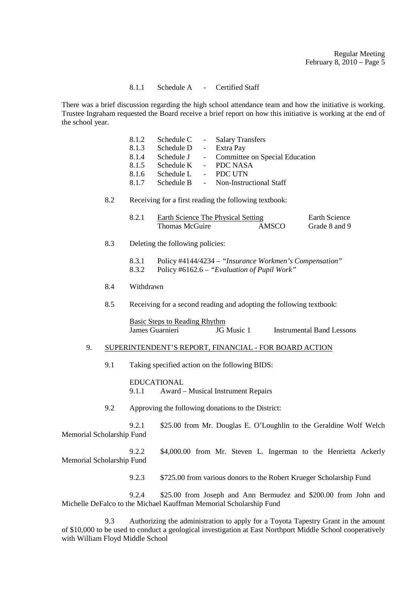### 8.1.1 Schedule A - Certified Staff

There was a brief discussion regarding the high school attendance team and how the initiative is working. Trustee Ingraham requested the Board receive a brief report on how this initiative is working at the end of the school year.

| 8.1.2 | Schedule C | - Salary Transfers               |
|-------|------------|----------------------------------|
| 8.1.3 | Schedule D | - Extra Pay                      |
| 8.1.4 | Schedule J | - Committee on Special Education |
| 8.1.5 | Schedule K | - PDC NASA                       |
| 8.1.6 | Schedule L | - PDC UTN                        |
| 8.1.7 | Schedule B | - Non-Instructional Staff        |

# 8.2 Receiving for a first reading the following textbook:

| Earth Science The Physical Setting |       | Earth Science |
|------------------------------------|-------|---------------|
| Thomas McGuire                     | AMSCO | Grade 8 and 9 |

- 8.3 Deleting the following policies:
	- 8.3.1 Policy #4144/4234 *"Insurance Workmen's Compensation"*
	- 8.3.2 Policy #6162.6 *"Evaluation of Pupil Work"*
- 8.4 Withdrawn
- 8.5 Receiving for a second reading and adopting the following textbook:

 Basic Steps to Reading Rhythm James Guarnieri JG Music 1 Instrumental Band Lessons

## 9. SUPERINTENDENT'S REPORT, FINANCIAL - FOR BOARD ACTION

9.1 Taking specified action on the following BIDS:

 EDUCATIONAL 9.1.1 Award – Musical Instrument Repairs

9.2 Approving the following donations to the District:

 9.2.1 \$25.00 from Mr. Douglas E. O'Loughlin to the Geraldine Wolf Welch Memorial Scholarship Fund

 9.2.2 \$4,000.00 from Mr. Steven L. Ingerman to the Henrietta Ackerly Memorial Scholarship Fund

9.2.3 \$725.00 from various donors to the Robert Krueger Scholarship Fund

 9.2.4 \$25.00 from Joseph and Ann Bermudez and \$200.00 from John and Michelle DeFalco to the Michael Kauffman Memorial Scholarship Fund

 9.3 Authorizing the administration to apply for a Toyota Tapestry Grant in the amount of \$10,000 to be used to conduct a geological investigation at East Northport Middle School cooperatively with William Floyd Middle School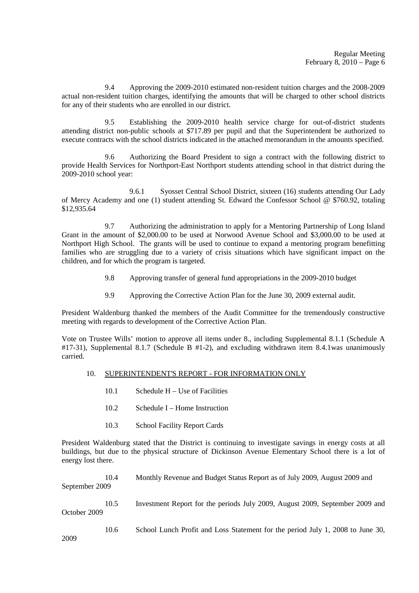9.4 Approving the 2009-2010 estimated non-resident tuition charges and the 2008-2009 actual non-resident tuition charges, identifying the amounts that will be charged to other school districts for any of their students who are enrolled in our district.

 9.5 Establishing the 2009-2010 health service charge for out-of-district students attending district non-public schools at \$717.89 per pupil and that the Superintendent be authorized to execute contracts with the school districts indicated in the attached memorandum in the amounts specified.

 9.6 Authorizing the Board President to sign a contract with the following district to provide Health Services for Northport-East Northport students attending school in that district during the 2009-2010 school year:

 9.6.1 Syosset Central School District, sixteen (16) students attending Our Lady of Mercy Academy and one (1) student attending St. Edward the Confessor School @ \$760.92, totaling \$12,935.64

 9.7 Authorizing the administration to apply for a Mentoring Partnership of Long Island Grant in the amount of \$2,000.00 to be used at Norwood Avenue School and \$3,000.00 to be used at Northport High School. The grants will be used to continue to expand a mentoring program benefitting families who are struggling due to a variety of crisis situations which have significant impact on the children, and for which the program is targeted.

- 9.8 Approving transfer of general fund appropriations in the 2009-2010 budget
- 9.9 Approving the Corrective Action Plan for the June 30, 2009 external audit.

President Waldenburg thanked the members of the Audit Committee for the tremendously constructive meeting with regards to development of the Corrective Action Plan.

Vote on Trustee Wills' motion to approve all items under 8., including Supplemental 8.1.1 (Schedule A #17-31), Supplemental 8.1.7 (Schedule B #1-2), and excluding withdrawn item 8.4.1was unanimously carried.

### 10. SUPERINTENDENT'S REPORT - FOR INFORMATION ONLY

- 10.1 Schedule H Use of Facilities
- 10.2 Schedule I Home Instruction
- 10.3 School Facility Report Cards

President Waldenburg stated that the District is continuing to investigate savings in energy costs at all buildings, but due to the physical structure of Dickinson Avenue Elementary School there is a lot of energy lost there.

10.4 Monthly Revenue and Budget Status Report as of July 2009, August 2009 and September 2009

10.5 Investment Report for the periods July 2009, August 2009, September 2009 and October 2009

10.6 School Lunch Profit and Loss Statement for the period July 1, 2008 to June 30,

2009